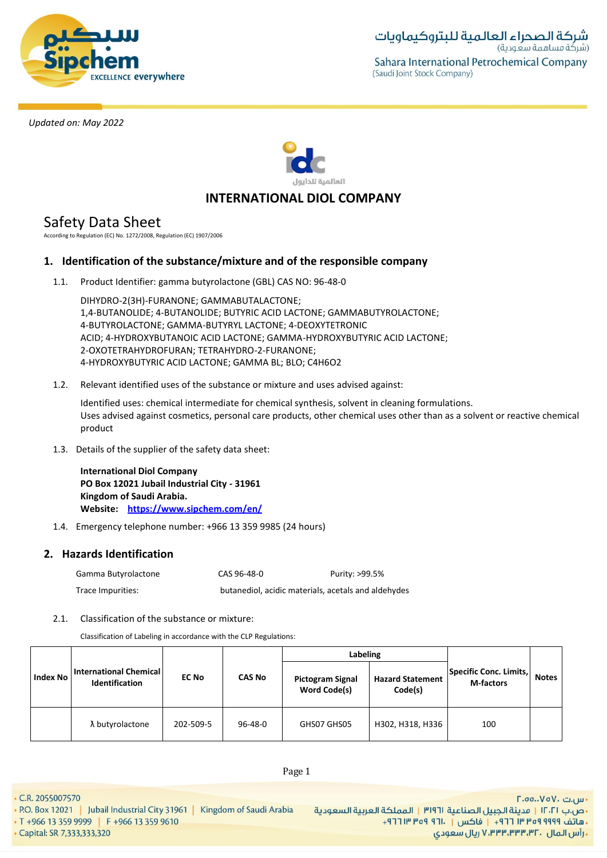



# **INTERNATIONAL DIOL COMPANY**

Safety Data Sheet

According to Regulation (EC) No. 1272/2008, Regulation (EC) 1907/2006

# **1. Identification of the substance/mixture and of the responsible company**

1.1. Product Identifier: gamma butyrolactone (GBL) CAS NO: 96-48-0

DIHYDRO-2(3H)-FURANONE; GAMMABUTALACTONE; 1,4-BUTANOLIDE; 4-BUTANOLIDE; BUTYRIC ACID LACTONE; GAMMABUTYROLACTONE; 4-BUTYROLACTONE; GAMMA-BUTYRYL LACTONE; 4-DEOXYTETRONIC ACID; 4-HYDROXYBUTANOIC ACID LACTONE; GAMMA-HYDROXYBUTYRIC ACID LACTONE; 2-OXOTETRAHYDROFURAN; TETRAHYDRO-2-FURANONE; 4-HYDROXYBUTYRIC ACID LACTONE; GAMMA BL; BLO; C4H6O2

1.2. Relevant identified uses of the substance or mixture and uses advised against:

Identified uses: chemical intermediate for chemical synthesis, solvent in cleaning formulations. Uses advised against cosmetics, personal care products, other chemical uses other than as a solvent or reactive chemical product

1.3. Details of the supplier of the safety data sheet:

**International Diol Company PO Box 12021 Jubail Industrial City - 31961 Kingdom of Saudi Arabia. Website: https://www.sipchem.com/en/**

1.4. Emergency telephone number: +966 13 359 9985 (24 hours)

# **2. Hazards Identification**

| Gamma Butyrolactone | CAS 96-48-0                                         | Purity: >99.5% |
|---------------------|-----------------------------------------------------|----------------|
| Trace Impurities:   | butanediol, acidic materials, acetals and aldehydes |                |

2.1. Classification of the substance or mixture:

Classification of Labeling in accordance with the CLP Regulations:

|          |                                                        |              |               | Labeling                                       |                                    |                                            |              |
|----------|--------------------------------------------------------|--------------|---------------|------------------------------------------------|------------------------------------|--------------------------------------------|--------------|
| Index No | <b>International Chemical</b><br><b>Identification</b> | <b>EC No</b> | <b>CAS No</b> | <b>Pictogram Signal</b><br><b>Word Code(s)</b> | <b>Hazard Statement</b><br>Code(s) | Specific Conc. Limits,<br><b>M-factors</b> | <b>Notes</b> |
|          | λ butyrolactone                                        | 202-509-5    | $96 - 48 - 0$ | GHS07 GHS05                                    | H302, H318, H336                   | 100                                        |              |

Page 1

- P.O. Box 12021 | Jubail Industrial City 31961 | Kingdom of Saudi Arabia
- T +966 13 359 9999 F +966 13 359 9610 · Capital: SR 7,333,333,320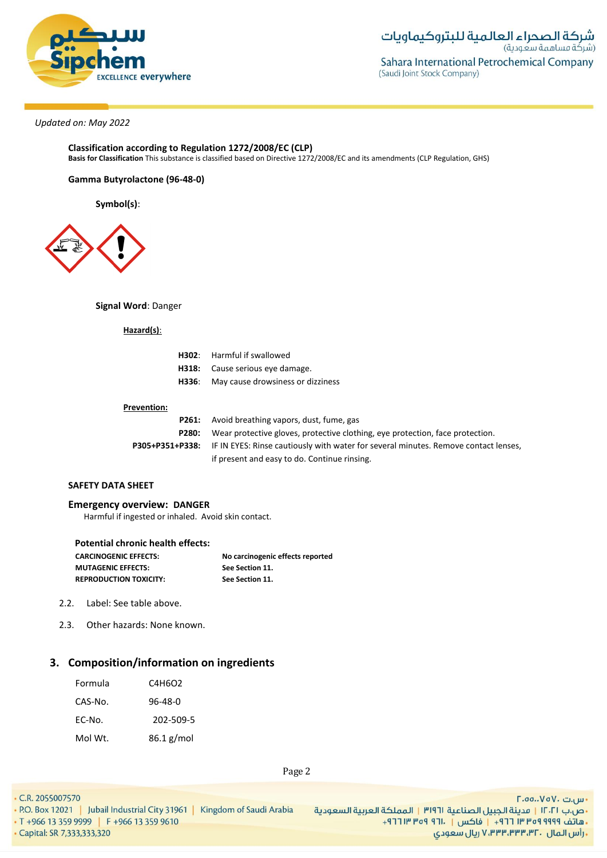

#### **Classification according to Regulation 1272/2008/EC (CLP) Basis for Classification** This substance is classified based on Directive 1272/2008/EC and its amendments (CLP Regulation, GHS)

### **Gamma Butyrolactone (96-48-0)**

**Symbol(s)**:



**Signal Word**: Danger

**Hazard(s)**:

| <b>H302:</b> Harmful if swallowed              |
|------------------------------------------------|
| H318: Cause serious eye damage.                |
| <b>H336:</b> May cause drowsiness or dizziness |
|                                                |

#### **Prevention:**

|       | <b>P261:</b> Avoid breathing vapors, dust, fume, gas                                                       |  |
|-------|------------------------------------------------------------------------------------------------------------|--|
| P280: | Wear protective gloves, protective clothing, eye protection, face protection.                              |  |
|       | <b>P305+P351+P338:</b> IF IN EYES: Rinse cautiously with water for several minutes. Remove contact lenses, |  |
|       | if present and easy to do. Continue rinsing.                                                               |  |

# **SAFETY DATA SHEET**

**Emergency overview: DANGER**

Harmful if ingested or inhaled. Avoid skin contact.

| <b>Potential chronic health effects:</b> |                                  |
|------------------------------------------|----------------------------------|
| <b>CARCINOGENIC EFFECTS:</b>             | No carcinogenic effects reported |
| <b>MUTAGENIC EFFECTS:</b>                | See Section 11.                  |
| <b>REPRODUCTION TOXICITY:</b>            | See Section 11.                  |

- 2.2. Label: See table above.
- 2.3. Other hazards: None known.

# **3. Composition/information on ingredients**

| Formula | C4H6O2     |
|---------|------------|
| CAS-No. | 96-48-0    |
| EC-No.  | 202-509-5  |
| Mol Wt. | 86.1 g/mol |

Page 2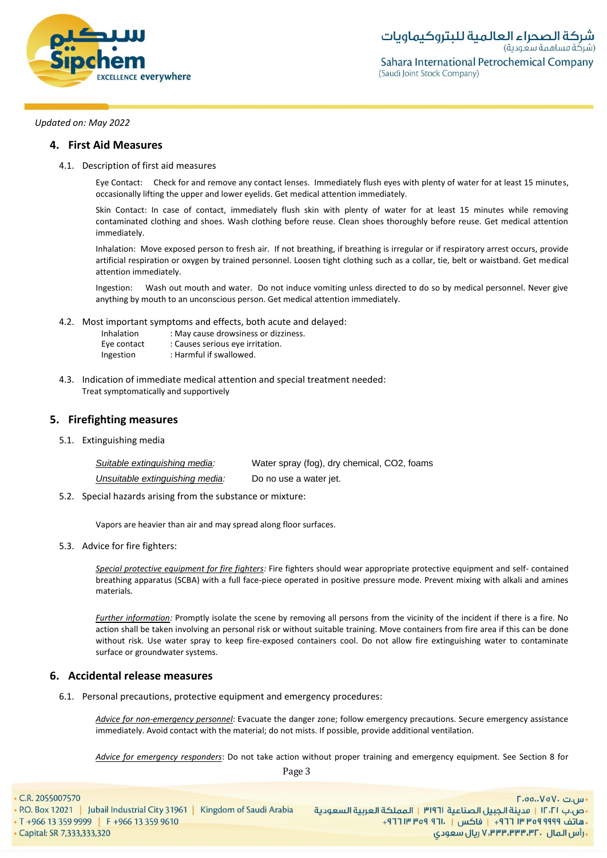

# **4. First Aid Measures**

4.1. Description of first aid measures

Eye Contact: Check for and remove any contact lenses. Immediately flush eyes with plenty of water for at least 15 minutes, occasionally lifting the upper and lower eyelids. Get medical attention immediately.

Skin Contact: In case of contact, immediately flush skin with plenty of water for at least 15 minutes while removing contaminated clothing and shoes. Wash clothing before reuse. Clean shoes thoroughly before reuse. Get medical attention immediately.

Inhalation: Move exposed person to fresh air. If not breathing, if breathing is irregular or if respiratory arrest occurs, provide artificial respiration or oxygen by trained personnel. Loosen tight clothing such as a collar, tie, belt or waistband. Get medical attention immediately.

Ingestion: Wash out mouth and water. Do not induce vomiting unless directed to do so by medical personnel. Never give anything by mouth to an unconscious person. Get medical attention immediately.

4.2. Most important symptoms and effects, both acute and delayed:

| Inhalation  | : May cause drowsiness or dizziness. |
|-------------|--------------------------------------|
| Eye contact | : Causes serious eye irritation.     |
| Ingestion   | : Harmful if swallowed.              |

4.3. Indication of immediate medical attention and special treatment needed: Treat symptomatically and supportively

# **5. Firefighting measures**

5.1. Extinguishing media

| Suitable extinguishing media:   | Water spray (fog), dry chemical, CO2, foams |
|---------------------------------|---------------------------------------------|
| Unsuitable extinguishing media: | Do no use a water jet.                      |

5.2. Special hazards arising from the substance or mixture:

Vapors are heavier than air and may spread along floor surfaces.

5.3. Advice for fire fighters:

*Special protective equipment for fire fighters:* Fire fighters should wear appropriate protective equipment and self- contained breathing apparatus (SCBA) with a full face-piece operated in positive pressure mode. Prevent mixing with alkali and amines materials.

*Further information:* Promptly isolate the scene by removing all persons from the vicinity of the incident if there is a fire. No action shall be taken involving an personal risk or without suitable training. Move containers from fire area if this can be done without risk. Use water spray to keep fire-exposed containers cool. Do not allow fire extinguishing water to contaminate surface or groundwater systems.

# **6. Accidental release measures**

6.1. Personal precautions, protective equipment and emergency procedures:

*Advice for non-emergency personnel*: Evacuate the danger zone; follow emergency precautions. Secure emergency assistance immediately. Avoid contact with the material; do not mists. If possible, provide additional ventilation.

*Advice for emergency responders*: Do not take action without proper training and emergency equipment. See Section 8 for

Page 3

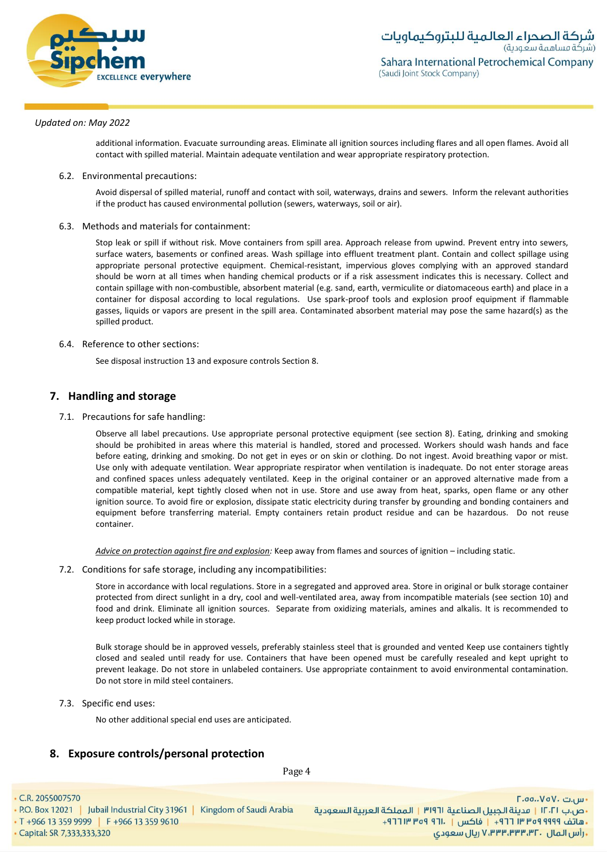

additional information. Evacuate surrounding areas. Eliminate all ignition sources including flares and all open flames. Avoid all contact with spilled material. Maintain adequate ventilation and wear appropriate respiratory protection.

6.2. Environmental precautions:

Avoid dispersal of spilled material, runoff and contact with soil, waterways, drains and sewers. Inform the relevant authorities if the product has caused environmental pollution (sewers, waterways, soil or air).

6.3. Methods and materials for containment:

Stop leak or spill if without risk. Move containers from spill area. Approach release from upwind. Prevent entry into sewers, surface waters, basements or confined areas. Wash spillage into effluent treatment plant. Contain and collect spillage using appropriate personal protective equipment. Chemical-resistant, impervious gloves complying with an approved standard should be worn at all times when handing chemical products or if a risk assessment indicates this is necessary. Collect and contain spillage with non-combustible, absorbent material (e.g. sand, earth, vermiculite or diatomaceous earth) and place in a container for disposal according to local regulations. Use spark-proof tools and explosion proof equipment if flammable gasses, liquids or vapors are present in the spill area. Contaminated absorbent material may pose the same hazard(s) as the spilled product.

## 6.4. Reference to other sections:

See disposal instruction 13 and exposure controls Section 8.

# **7. Handling and storage**

7.1. Precautions for safe handling:

Observe all label precautions. Use appropriate personal protective equipment (see section 8). Eating, drinking and smoking should be prohibited in areas where this material is handled, stored and processed. Workers should wash hands and face before eating, drinking and smoking. Do not get in eyes or on skin or clothing. Do not ingest. Avoid breathing vapor or mist. Use only with adequate ventilation. Wear appropriate respirator when ventilation is inadequate. Do not enter storage areas and confined spaces unless adequately ventilated. Keep in the original container or an approved alternative made from a compatible material, kept tightly closed when not in use. Store and use away from heat, sparks, open flame or any other ignition source. To avoid fire or explosion, dissipate static electricity during transfer by grounding and bonding containers and equipment before transferring material. Empty containers retain product residue and can be hazardous. Do not reuse container.

*Advice on protection against fire and explosion:* Keep away from flames and sources of ignition – including static.

7.2. Conditions for safe storage, including any incompatibilities:

Store in accordance with local regulations. Store in a segregated and approved area. Store in original or bulk storage container protected from direct sunlight in a dry, cool and well-ventilated area, away from incompatible materials (see section 10) and food and drink. Eliminate all ignition sources. Separate from oxidizing materials, amines and alkalis. It is recommended to keep product locked while in storage.

Bulk storage should be in approved vessels, preferably stainless steel that is grounded and vented Keep use containers tightly closed and sealed until ready for use. Containers that have been opened must be carefully resealed and kept upright to prevent leakage. Do not store in unlabeled containers. Use appropriate containment to avoid environmental contamination. Do not store in mild steel containers.

7.3. Specific end uses:

No other additional special end uses are anticipated.

# **8. Exposure controls/personal protection**

Page 4

• C.R. 2055007570

∙س.ت ۷۵۷۰، ۲.۵۵.۰ •ص.ب ١٢٠٢١ | مدينة الجبيل الصناعية ٣١٩٦١ | المملكة العربية السعودية +هاتف ٩٩٩٩ ٩٩٩٩ ٣١٣ ٣ ٢٦ + إ فاكس | . ١٣١١ ٩٣٩ ٣١٢ + + **, رأس المال ۷٬۳۳۳٬۳۳۳٬۳۲۰ ریال سعودی**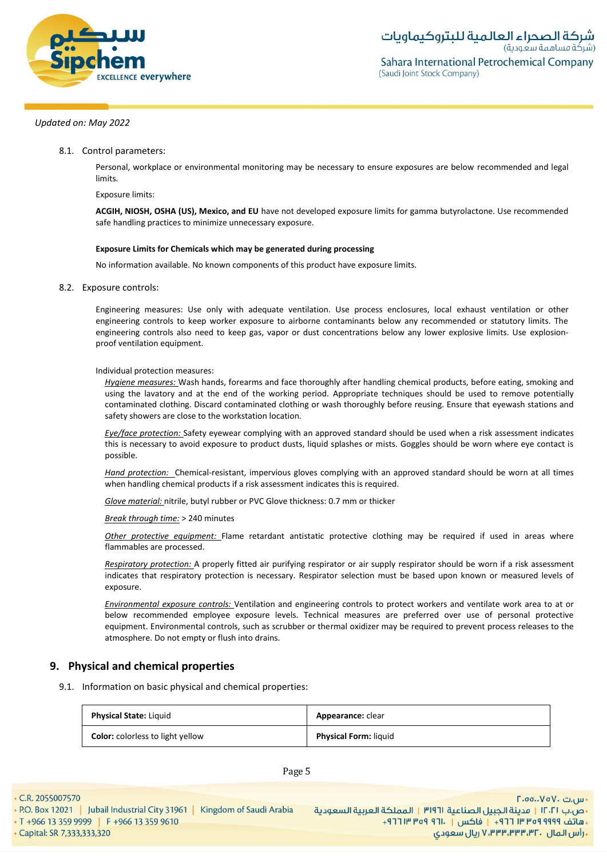

8.1. Control parameters:

Personal, workplace or environmental monitoring may be necessary to ensure exposures are below recommended and legal limits.

Exposure limits:

**ACGIH, NIOSH, OSHA (US), Mexico, and EU** have not developed exposure limits for gamma butyrolactone. Use recommended safe handling practices to minimize unnecessary exposure.

#### **Exposure Limits for Chemicals which may be generated during processing**

No information available. No known components of this product have exposure limits.

8.2. Exposure controls:

Engineering measures: Use only with adequate ventilation. Use process enclosures, local exhaust ventilation or other engineering controls to keep worker exposure to airborne contaminants below any recommended or statutory limits. The engineering controls also need to keep gas, vapor or dust concentrations below any lower explosive limits. Use explosionproof ventilation equipment.

Individual protection measures:

*Hygiene measures:* Wash hands, forearms and face thoroughly after handling chemical products, before eating, smoking and using the lavatory and at the end of the working period. Appropriate techniques should be used to remove potentially contaminated clothing. Discard contaminated clothing or wash thoroughly before reusing. Ensure that eyewash stations and safety showers are close to the workstation location*.*

*Eye/face protection:* Safety eyewear complying with an approved standard should be used when a risk assessment indicates this is necessary to avoid exposure to product dusts, liquid splashes or mists. Goggles should be worn where eye contact is possible.

*Hand protection:* Chemical-resistant, impervious gloves complying with an approved standard should be worn at all times when handling chemical products if a risk assessment indicates this is required.

*Glove material:* nitrile, butyl rubber or PVC Glove thickness: 0.7 mm or thicker

*Break through time:* > 240 minutes

*Other protective equipment:* Flame retardant antistatic protective clothing may be required if used in areas where flammables are processed.

*Respiratory protection:* A properly fitted air purifying respirator or air supply respirator should be worn if a risk assessment indicates that respiratory protection is necessary. Respirator selection must be based upon known or measured levels of exposure.

*Environmental exposure controls:* Ventilation and engineering controls to protect workers and ventilate work area to at or below recommended employee exposure levels. Technical measures are preferred over use of personal protective equipment. Environmental controls, such as scrubber or thermal oxidizer may be required to prevent process releases to the atmosphere. Do not empty or flush into drains.

# **9. Physical and chemical properties**

9.1. Information on basic physical and chemical properties:

| <b>Physical State: Liquid</b>           | <b>Appearance: clear</b>     |
|-----------------------------------------|------------------------------|
| <b>Color:</b> colorless to light yellow | <b>Physical Form: liquid</b> |

Page 5

• Capital: SR 7,333,333,320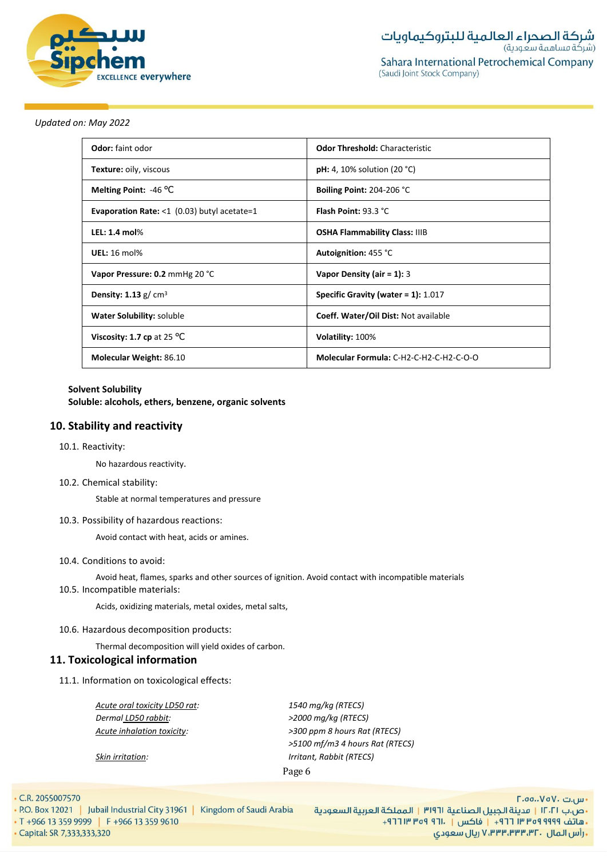

| <b>Odor:</b> faint odor                        | <b>Odor Threshold: Characteristic</b>        |
|------------------------------------------------|----------------------------------------------|
| Texture: oily, viscous                         | <b>pH:</b> 4, 10% solution (20 $^{\circ}$ C) |
| Melting Point: $-46$ °C                        | Boiling Point: 204-206 °C                    |
| Evaporation Rate: $<$ 1 (0.03) butyl acetate=1 | Flash Point: 93.3 °C                         |
| LEL: 1.4 $mol\%$                               | <b>OSHA Flammability Class: IIIB</b>         |
| <b>UEL: 16 mol%</b>                            | Autoignition: 455 °C                         |
| Vapor Pressure: 0.2 mmHg 20 °C                 | Vapor Density (air = $1$ ): 3                |
| <b>Density: 1.13</b> $g/cm3$                   | Specific Gravity (water = $1$ ): 1.017       |
| Water Solubility: soluble                      | Coeff. Water/Oil Dist: Not available         |
| Viscosity: 1.7 cp at 25 $^{\circ}$ C           | Volatility: 100%                             |
| <b>Molecular Weight: 86.10</b>                 | Molecular Formula: C-H2-C-H2-C-H2-C-O-O      |

#### **Solvent Solubility**

**Soluble: alcohols, ethers, benzene, organic solvents**

# **10. Stability and reactivity**

#### 10.1. Reactivity:

No hazardous reactivity.

#### 10.2. Chemical stability:

Stable at normal temperatures and pressure

#### 10.3. Possibility of hazardous reactions:

Avoid contact with heat, acids or amines.

#### 10.4. Conditions to avoid:

Avoid heat, flames, sparks and other sources of ignition. Avoid contact with incompatible materials 10.5. Incompatible materials:

Acids, oxidizing materials, metal oxides, metal salts,

# 10.6. Hazardous decomposition products:

Thermal decomposition will yield oxides of carbon.

# **11. Toxicological information**

11.1. Information on toxicological effects:

*Acute oral toxicity LD50 rat: 1540 mg/kg (RTECS) Dermal LD50 rabbit: >2000 mg/kg (RTECS)*

*Acute inhalation toxicity: >300 ppm 8 hours Rat (RTECS) >5100 mf/m3 4 hours Rat (RTECS) Skin irritation: Irritant, Rabbit (RTECS)*

Page 6

• C.R. 2055007570

- P.O. Box 12021 | Jubail Industrial City 31961 | Kingdom of Saudi Arabia
- T +966 13 359 9999 | F +966 13 359 9610 • Capital: SR 7,333,333,320

- س.ت ۷۵۷۰، ۲.۵۵.۰۷۵ •ص.ب ١٢٠٢١ | مدينة الجبيل الصناعية ٣١٩٦١ | المملكة العربية السعودية + هاتف ٩٩٩٩ ٩٩٩٩ ٣ ٣ ٣ ٣ ١٣ - إ فاكس | . ١٦٦ ٩ ٣٥٩ ٣ ١٣ ٢ + ٢ **. رأس المال ۷٬۳۳۳٬۳۳۳٬۳۲۰ ريال سعودی**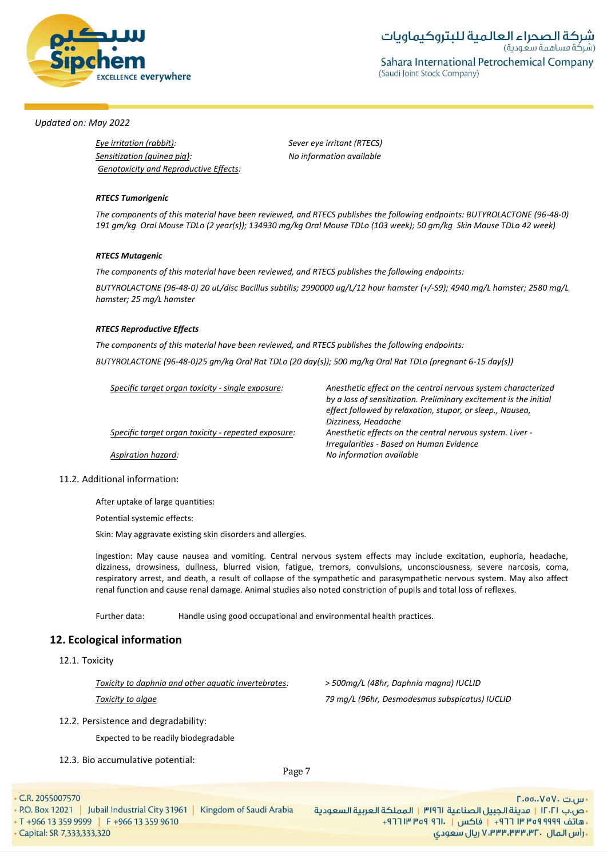

*Specific target organ toxicity* - *single exposure: Anesthetic effect on the central nervous system characterized* 

## *Updated on: May 2022*

*Eye irritation (rabbit): Sever eye irritant (RTECS) Sensitization (guinea pig): No information available Genotoxicity and Reproductive Effects:*

#### *RTECS Tumorigenic*

*The components of this material have been reviewed, and RTECS publishes the following endpoints: BUTYROLACTONE (96-48-0) 191 gm/kg Oral Mouse TDLo (2 year(s)); 134930 mg/kg Oral Mouse TDLo (103 week); 50 gm/kg Skin Mouse TDLo 42 week)*

#### *RTECS Mutagenic*

*The components of this material have been reviewed, and RTECS publishes the following endpoints:*

*BUTYROLACTONE (96-48-0) 20 uL/disc Bacillus subtilis; 2990000 ug/L/12 hour hamster (+/-S9); 4940 mg/L hamster; 2580 mg/L hamster; 25 mg/L hamster*

#### *RTECS Reproductive Effects*

*The components of this material have been reviewed, and RTECS publishes the following endpoints: BUTYROLACTONE (96-48-0)25 gm/kg Oral Rat TDLo (20 day(s)); 500 mg/kg Oral Rat TDLo (pregnant 6-15 day(s))*

| Specific target organ toxicity - single exposure:   | Anesthetic effect on the central nervous system characterized     |
|-----------------------------------------------------|-------------------------------------------------------------------|
|                                                     | by a loss of sensitization. Preliminary excitement is the initial |
|                                                     | effect followed by relaxation, stupor, or sleep., Nausea,         |
|                                                     | Dizziness, Headache                                               |
| Specific target organ toxicity - repeated exposure: | Anesthetic effects on the central nervous system. Liver -         |
|                                                     | Irregularities - Based on Human Evidence                          |
| Aspiration hazard:                                  | No information available                                          |
|                                                     |                                                                   |

#### 11.2. Additional information:

After uptake of large quantities:

Potential systemic effects:

Skin: May aggravate existing skin disorders and allergies.

Ingestion: May cause nausea and vomiting. Central nervous system effects may include excitation, euphoria, headache, dizziness, drowsiness, dullness, blurred vision, fatigue, tremors, convulsions, unconsciousness, severe narcosis, coma, respiratory arrest, and death, a result of collapse of the sympathetic and parasympathetic nervous system. May also affect renal function and cause renal damage. Animal studies also noted constriction of pupils and total loss of reflexes.

Further data: Handle using good occupational and environmental health practices.

# **12. Ecological information**

12.1. Toxicity

*Toxicity to daphnia and other aquatic invertebrates: > 500mg/L (48hr, Daphnia magna) IUCLID*

*Toxicity to algae 79 mg/L (96hr, Desmodesmus subspicatus) IUCLID*

12.2. Persistence and degradability:

Expected to be readily biodegradable

12.3. Bio accumulative potential:

Page 7

• C.R. 2055007570

• P.O. Box 12021 | Jubail Industrial City 31961 | Kingdom of Saudi Arabia • T +966 13 359 9999 F +966 13 359 9610

- س.ت ۷۵۷۰، ۲.۵۵.۰۷۵ •ص.ب ١٢٠٢١ | مدينة الجبيل الصناعية ٣١٩٦١ | المملكة العربية السعودية +هاتف ٩٩٩٩ ٩٩٩٩ ٣١٣ ٣ ٢٦ + إ فاكس | . ١٣١١ ٩٣٩ ٣١٢ + + **, رأس المال ۷٬۳۳۳٬۳۳۳٬۳۲۰ ریال سعودی** 

· Capital: SR 7,333,333,320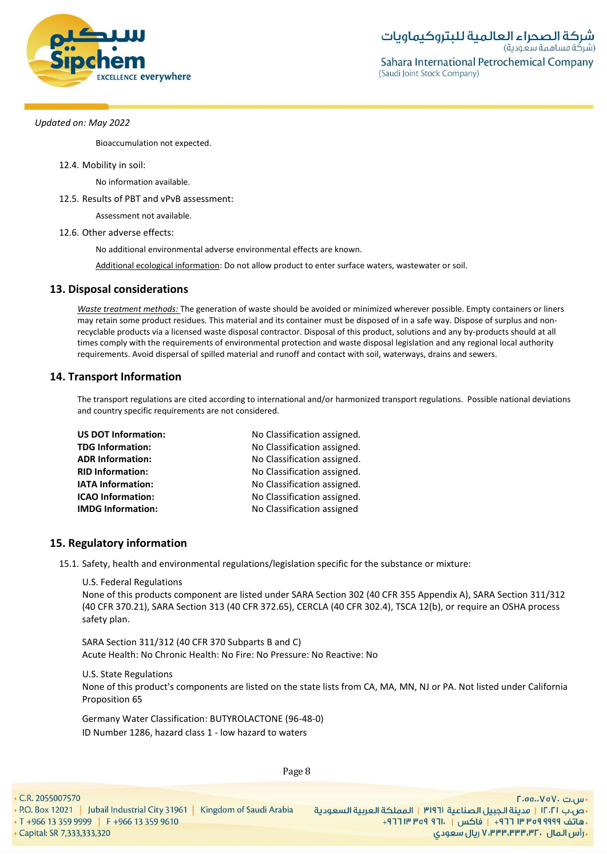

Bioaccumulation not expected.

#### 12.4. Mobility in soil:

No information available.

#### 12.5. Results of PBT and vPvB assessment:

Assessment not available.

#### 12.6. Other adverse effects:

No additional environmental adverse environmental effects are known.

Additional ecological information: Do not allow product to enter surface waters, wastewater or soil.

# **13. Disposal considerations**

*Waste treatment methods:* The generation of waste should be avoided or minimized wherever possible. Empty containers or liners may retain some product residues. This material and its container must be disposed of in a safe way. Dispose of surplus and nonrecyclable products via a licensed waste disposal contractor. Disposal of this product, solutions and any by-products should at all times comply with the requirements of environmental protection and waste disposal legislation and any regional local authority requirements. Avoid dispersal of spilled material and runoff and contact with soil, waterways, drains and sewers.

# **14. Transport Information**

The transport regulations are cited according to international and/or harmonized transport regulations. Possible national deviations and country specific requirements are not considered.

| <b>US DOT Information:</b> | No Classification assigned. |
|----------------------------|-----------------------------|
| <b>TDG Information:</b>    | No Classification assigned. |
| <b>ADR Information:</b>    | No Classification assigned. |
| <b>RID Information:</b>    | No Classification assigned. |
| <b>IATA Information:</b>   | No Classification assigned. |
| <b>ICAO Information:</b>   | No Classification assigned. |
| <b>IMDG Information:</b>   | No Classification assigned  |

# **15. Regulatory information**

15.1. Safety, health and environmental regulations/legislation specific for the substance or mixture:

U.S. Federal Regulations

None of this products component are listed under SARA Section 302 (40 CFR 355 Appendix A), SARA Section 311/312 (40 CFR 370.21), SARA Section 313 (40 CFR 372.65), CERCLA (40 CFR 302.4), TSCA 12(b), or require an OSHA process safety plan.

SARA Section 311/312 (40 CFR 370 Subparts B and C) Acute Health: No Chronic Health: No Fire: No Pressure: No Reactive: No

U.S. State Regulations None of this product's components are listed on the state lists from CA, MA, MN, NJ or PA. Not listed under California Proposition 65

Germany Water Classification: BUTYROLACTONE (96-48-0) ID Number 1286, hazard class 1 - low hazard to waters

Page 8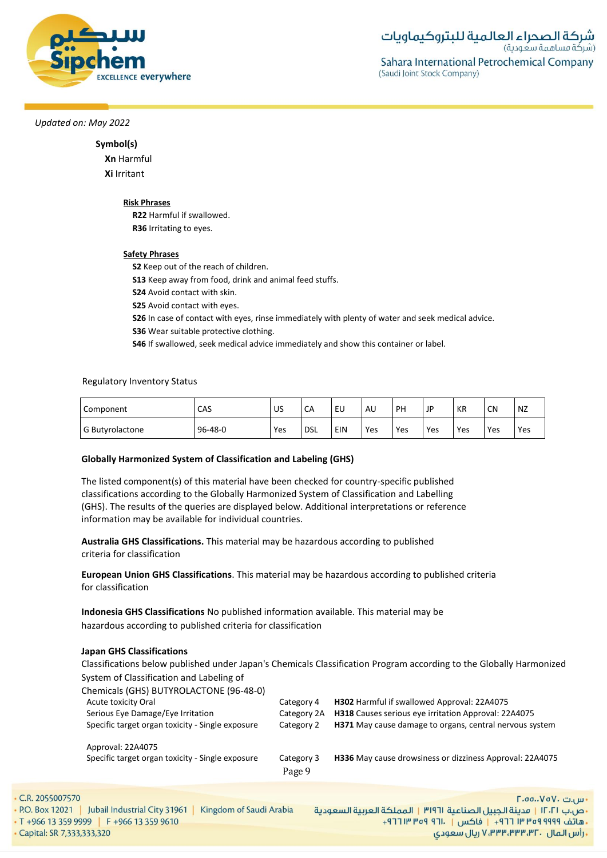

# **Symbol(s)**

**Xn** Harmful **Xi** Irritant

#### **Risk Phrases**

**R22** Harmful if swallowed. **R36** Irritating to eyes.

## **Safety Phrases**

**S2** Keep out of the reach of children.

**S13** Keep away from food, drink and animal feed stuffs.

**S24** Avoid contact with skin.

**S25** Avoid contact with eyes.

**S26** In case of contact with eyes, rinse immediately with plenty of water and seek medical advice.

**S36** Wear suitable protective clothing.

**S46** If swallowed, seek medical advice immediately and show this container or label.

## Regulatory Inventory Status

| Component       | CAS     | US  | CA         | EU  | AU  | PH  | JP  | KR  | <b>CN</b> | NZ  |
|-----------------|---------|-----|------------|-----|-----|-----|-----|-----|-----------|-----|
| G Butyrolactone | 96-48-0 | Yes | <b>DSL</b> | EIN | Yes | Yes | Yes | Yes | Yes       | Yes |

# **Globally Harmonized System of Classification and Labeling (GHS)**

The listed component(s) of this material have been checked for country-specific published classifications according to the Globally Harmonized System of Classification and Labelling (GHS). The results of the queries are displayed below. Additional interpretations or reference information may be available for individual countries.

**Australia GHS Classifications.** This material may be hazardous according to published criteria for classification

**European Union GHS Classifications**. This material may be hazardous according to published criteria for classification

**Indonesia GHS Classifications** No published information available. This material may be hazardous according to published criteria for classification

#### **Japan GHS Classifications**

Classifications below published under Japan's Chemicals Classification Program according to the Globally Harmonized System of Classification and Labeling of

|     | Chemicals (GHS) BUTYROLACTONE (96-48-0)          |             |                                                          |
|-----|--------------------------------------------------|-------------|----------------------------------------------------------|
|     | Acute toxicity Oral                              | Category 4  | <b>H302</b> Harmful if swallowed Approval: 22A4075       |
|     | Serious Eye Damage/Eye Irritation                | Category 2A | H318 Causes serious eye irritation Approval: 22A4075     |
|     | Specific target organ toxicity - Single exposure | Category 2  | H371 May cause damage to organs, central nervous system  |
|     | Approval: 22A4075                                |             |                                                          |
|     | Specific target organ toxicity - Single exposure | Category 3  | H336 May cause drowsiness or dizziness Approval: 22A4075 |
|     |                                                  | Page 9      |                                                          |
|     |                                                  |             |                                                          |
| 570 |                                                  |             | $\Gamma$ .00 $\vee$ o $\vee$ . ت                         |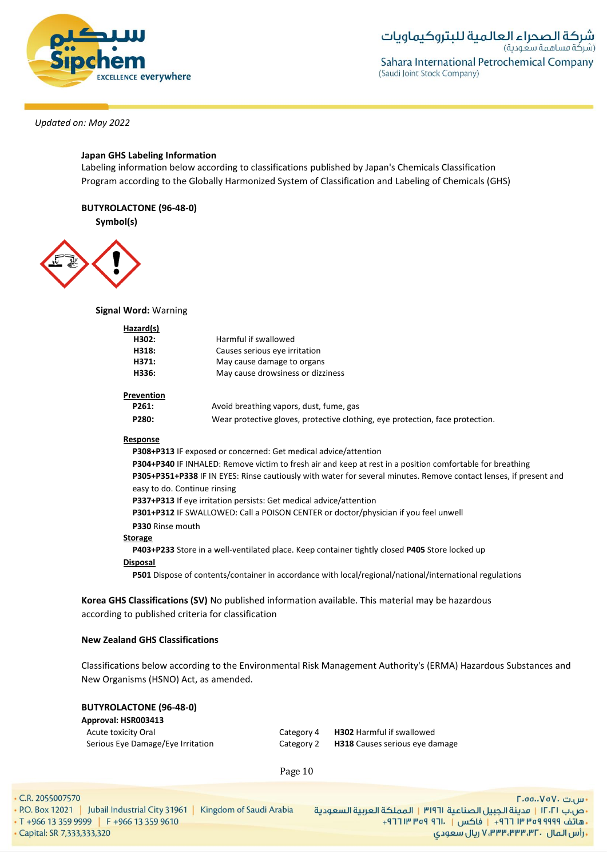

# **Japan GHS Labeling Information**

Labeling information below according to classifications published by Japan's Chemicals Classification Program according to the Globally Harmonized System of Classification and Labeling of Chemicals (GHS)

# **BUTYROLACTONE (96-48-0)**

**Symbol(s)**



**Signal Word:** Warning

| Hazard(s)    |                                                            |  |
|--------------|------------------------------------------------------------|--|
| H302:        | Harmful if swallowed                                       |  |
| H318:        | Causes serious eye irritation                              |  |
| H371:        | May cause damage to organs                                 |  |
| H336:        | May cause drowsiness or dizziness                          |  |
| Prevention   |                                                            |  |
| <b>DOC4.</b> | Associal bonnactivities or compared about the company when |  |

# Pr

| P261: | Avoid breathing vapors, dust, fume, gas                                       |
|-------|-------------------------------------------------------------------------------|
| P280: | Wear protective gloves, protective clothing, eye protection, face protection. |

#### **Response**

**P308+P313** IF exposed or concerned: Get medical advice/attention

**P304+P340** IF INHALED: Remove victim to fresh air and keep at rest in a position comfortable for breathing **P305+P351+P338** IF IN EYES: Rinse cautiously with water for several minutes. Remove contact lenses, if present and easy to do. Continue rinsing **P337+P313** If eye irritation persists: Get medical advice/attention **P301+P312** IF SWALLOWED: Call a POISON CENTER or doctor/physician if you feel unwell

#### **P330** Rinse mouth **Storage**

**P403+P233** Store in a well-ventilated place. Keep container tightly closed **P405** Store locked up

# **Disposal**

**P501** Dispose of contents/container in accordance with local/regional/national/international regulations

**Korea GHS Classifications (SV)** No published information available. This material may be hazardous according to published criteria for classification

# **New Zealand GHS Classifications**

Classifications below according to the Environmental Risk Management Authority's (ERMA) Hazardous Substances and New Organisms (HSNO) Act, as amended.

| <b>BUTYROLACTONE (96-48-0)</b> |  |  |  |
|--------------------------------|--|--|--|
| Approval: HSR003413            |  |  |  |
| Acute toxicity Oral            |  |  |  |

Category 4 **H302** Harmful if swallowed Serious Eye Damage/Eye Irritation Category 2 **H318** Causes serious eye damage

Page 10

• C.R. 2055007570

• P.O. Box 12021 | Jubail Industrial City 31961 | Kingdom of Saudi Arabia • T +966 13 359 9999 F +966 13 359 9610 · Capital: SR 7,333,333,320

- س.ت ۷۵۷۰، ۲.۵۵.۰۷۵ •ص.ب ١٢٠٢١ | مدينة الجبيل الصناعية ٣١٩٦١ | المملكة العربية السعودية +هاتف ٩٩٩٩ ٩٩٩ ٣٣ ٣ ٢٦٦ | فاكس | ١٣٠١ ٩٦٩ ١٣ ٢٦٩ ريال سعودي, ۷٬۳۳۳٬۳۳۳٬۳۲۰ ريال سعودي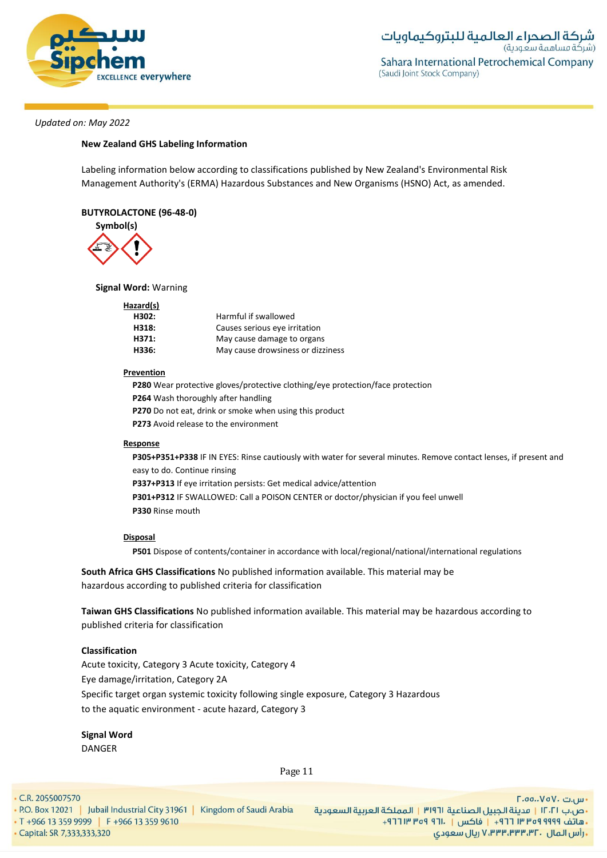

### **New Zealand GHS Labeling Information**

Labeling information below according to classifications published by New Zealand's Environmental Risk Management Authority's (ERMA) Hazardous Substances and New Organisms (HSNO) Act, as amended.

### **BUTYROLACTONE (96-48-0)**



# **Signal Word:** Warning

| Hazard(s) |                                   |
|-----------|-----------------------------------|
| H302:     | Harmful if swallowed              |
| H318:     | Causes serious eye irritation     |
| H371:     | May cause damage to organs        |
| H336:     | May cause drowsiness or dizziness |

#### **Prevention**

**P280** Wear protective gloves/protective clothing/eye protection/face protection **P264** Wash thoroughly after handling **P270** Do not eat, drink or smoke when using this product **P273** Avoid release to the environment

## **Response**

**P305+P351+P338** IF IN EYES: Rinse cautiously with water for several minutes. Remove contact lenses, if present and easy to do. Continue rinsing **P337+P313** If eye irritation persists: Get medical advice/attention **P301+P312** IF SWALLOWED: Call a POISON CENTER or doctor/physician if you feel unwell **P330** Rinse mouth

#### **Disposal**

**P501** Dispose of contents/container in accordance with local/regional/national/international regulations

**South Africa GHS Classifications** No published information available. This material may be hazardous according to published criteria for classification

**Taiwan GHS Classifications** No published information available. This material may be hazardous according to published criteria for classification

### **Classification**

Acute toxicity, Category 3 Acute toxicity, Category 4 Eye damage/irritation, Category 2A Specific target organ systemic toxicity following single exposure, Category 3 Hazardous to the aquatic environment - acute hazard, Category 3

**Signal Word** DANGER

Page 11